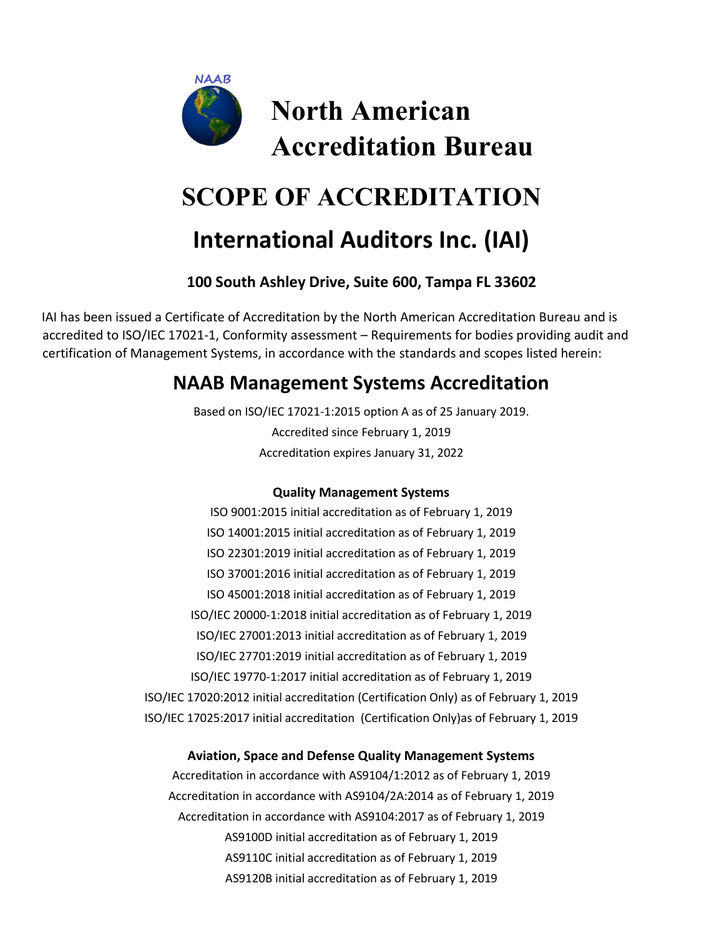

# **SCOPE OF ACCREDITATION**

## **International Auditors Inc. (IAI)**

### **100 South Ashley Drive, Suite 600, Tampa FL 33602**

IAI has been issued a Certificate of Accreditation by the North American Accreditation Bureau and is accredited to ISO/IEC 17021-1, Conformity assessment – Requirements for bodies providing audit and certification of Management Systems, in accordance with the standards and scopes listed herein:

## **NAAB Management Systems Accreditation**

Based on ISO/IEC 17021-1:2015 option A as of 25 January 2019. Accredited since February 1, 2019 Accreditation expires January 31, 2022

#### **Quality Management Systems**

ISO 9001:2015 initial accreditation as of February 1, 2019 ISO 14001:2015 initial accreditation as of February 1, 2019 ISO 22301:2019 initial accreditation as of February 1, 2019 ISO 37001:2016 initial accreditation as of February 1, 2019 ISO 45001:2018 initial accreditation as of February 1, 2019 ISO/IEC 20000-1:2018 initial accreditation as of February 1, 2019 ISO/IEC 27001:2013 initial accreditation as of February 1, 2019 ISO/IEC 27701:2019 initial accreditation as of February 1, 2019 ISO/IEC 19770-1:2017 initial accreditation as of February 1, 2019 ISO/IEC 17020:2012 initial accreditation (Certification Only) as of February 1, 2019 ISO/IEC 17025:2017 initial accreditation (Certification Only)as of February 1, 2019

#### **Aviation, Space and Defense Quality Management Systems**

Accreditation in accordance with AS9104/1:2012 as of February 1, 2019 Accreditation in accordance with AS9104/2A:2014 as of February 1, 2019 Accreditation in accordance with AS9104:2017 as of February 1, 2019 AS9100D initial accreditation as of February 1, 2019 AS9110C initial accreditation as of February 1, 2019 AS9120B initial accreditation as of February 1, 2019